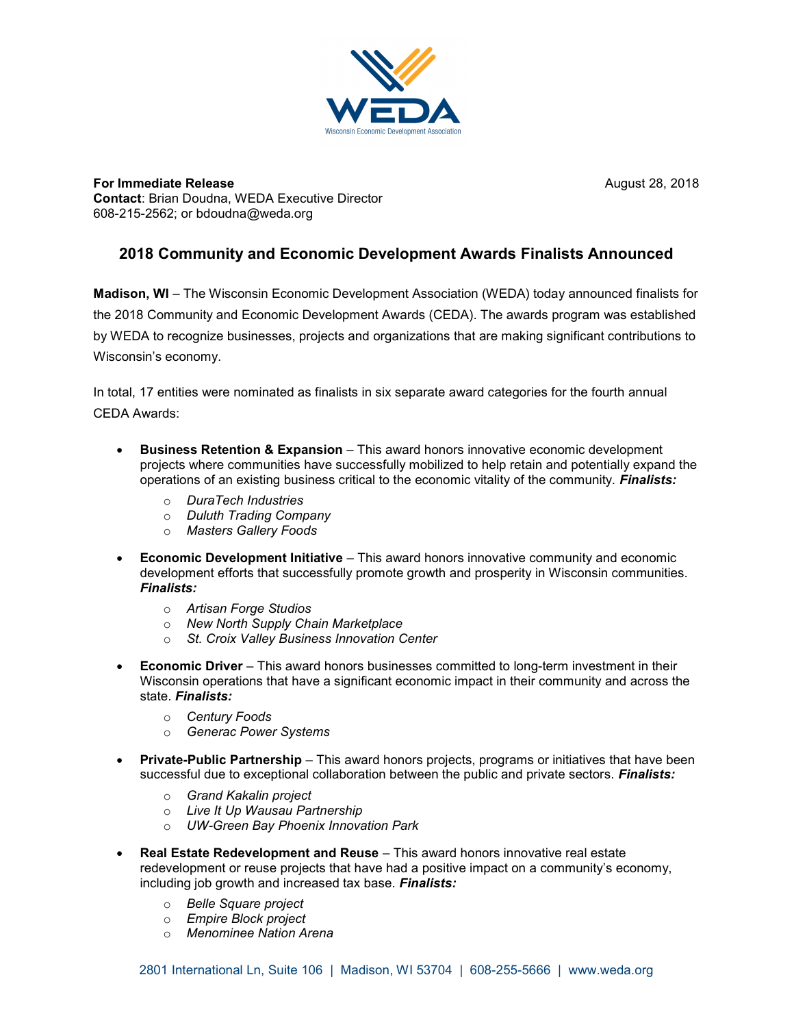

**For Immediate Release August 28, 2018** August 28, 2018 Contact: Brian Doudna, WEDA Executive Director 608-215-2562; or bdoudna@weda.org

## 2018 Community and Economic Development Awards Finalists Announced

Madison, WI – The Wisconsin Economic Development Association (WEDA) today announced finalists for the 2018 Community and Economic Development Awards (CEDA). The awards program was established by WEDA to recognize businesses, projects and organizations that are making significant contributions to Wisconsin's economy.

In total, 17 entities were nominated as finalists in six separate award categories for the fourth annual CEDA Awards:

- Business Retention & Expansion This award honors innovative economic development projects where communities have successfully mobilized to help retain and potentially expand the operations of an existing business critical to the economic vitality of the community. Finalists:
	- o DuraTech Industries
	- o Duluth Trading Company
	- o Masters Gallery Foods
- Economic Development Initiative This award honors innovative community and economic development efforts that successfully promote growth and prosperity in Wisconsin communities. Finalists:
	- o Artisan Forge Studios
	- o New North Supply Chain Marketplace
	- o St. Croix Valley Business Innovation Center
- **Economic Driver** This award honors businesses committed to long-term investment in their Wisconsin operations that have a significant economic impact in their community and across the state. Finalists:
	- o Century Foods
	- o Generac Power Systems
- **Private-Public Partnership** This award honors projects, programs or initiatives that have been successful due to exceptional collaboration between the public and private sectors. Finalists:
	- o Grand Kakalin project
	- o Live It Up Wausau Partnership
	- o UW-Green Bay Phoenix Innovation Park
- Real Estate Redevelopment and Reuse This award honors innovative real estate redevelopment or reuse projects that have had a positive impact on a community's economy, including job growth and increased tax base. Finalists:
	- o Belle Square project
	- o Empire Block project
	- o Menominee Nation Arena